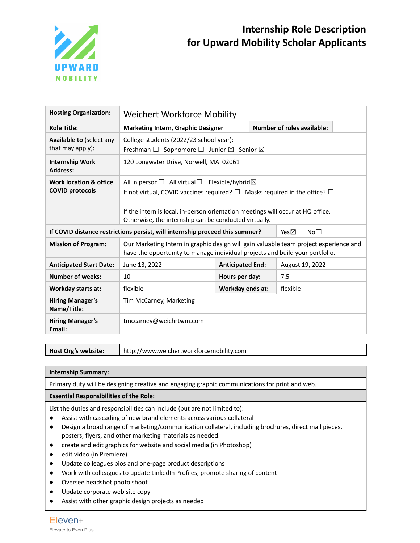

## **Internship Role Description for Upward Mobility Scholar Applicants**

| <b>Hosting Organization:</b>                                                                                    | Weichert Workforce Mobility                                                                                                                                                                                                                                                                                   |                         |                            |                 |  |
|-----------------------------------------------------------------------------------------------------------------|---------------------------------------------------------------------------------------------------------------------------------------------------------------------------------------------------------------------------------------------------------------------------------------------------------------|-------------------------|----------------------------|-----------------|--|
| <b>Role Title:</b>                                                                                              | <b>Marketing Intern, Graphic Designer</b>                                                                                                                                                                                                                                                                     |                         | Number of roles available: |                 |  |
| <b>Available to (select any</b><br>that may apply):                                                             | College students (2022/23 school year):<br>Freshman $\Box$ Sophomore $\Box$ Junior $\boxtimes$ Senior $\boxtimes$                                                                                                                                                                                             |                         |                            |                 |  |
| <b>Internship Work</b><br><b>Address:</b>                                                                       | 120 Longwater Drive, Norwell, MA 02061                                                                                                                                                                                                                                                                        |                         |                            |                 |  |
| Work location & office<br><b>COVID protocols</b>                                                                | All in person $\Box$ All virtual $\Box$ Flexible/hybrid $\boxtimes$<br>If not virtual, COVID vaccines required? $\square$ Masks required in the office? $\square$<br>If the intern is local, in-person orientation meetings will occur at HQ office.<br>Otherwise, the internship can be conducted virtually. |                         |                            |                 |  |
| If COVID distance restrictions persist, will internship proceed this summer?<br>Yes $\nabla$<br>No <sub>1</sub> |                                                                                                                                                                                                                                                                                                               |                         |                            |                 |  |
| <b>Mission of Program:</b>                                                                                      | Our Marketing Intern in graphic design will gain valuable team project experience and<br>have the opportunity to manage individual projects and build your portfolio.                                                                                                                                         |                         |                            |                 |  |
| <b>Anticipated Start Date:</b>                                                                                  | June 13, 2022                                                                                                                                                                                                                                                                                                 | <b>Anticipated End:</b> |                            | August 19, 2022 |  |
| <b>Number of weeks:</b>                                                                                         | 10                                                                                                                                                                                                                                                                                                            | Hours per day:          |                            | 7.5             |  |
| <b>Workday starts at:</b>                                                                                       | flexible                                                                                                                                                                                                                                                                                                      | <b>Workday ends at:</b> |                            | flexible        |  |
| <b>Hiring Manager's</b><br>Name/Title:                                                                          | Tim McCarney, Marketing                                                                                                                                                                                                                                                                                       |                         |                            |                 |  |
| <b>Hiring Manager's</b><br>Email:                                                                               | tmccarney@weichrtwm.com                                                                                                                                                                                                                                                                                       |                         |                            |                 |  |

**Host Org's website:** http://www.weichertworkforcemobility.com

**Internship Summary:**

Primary duty will be designing creative and engaging graphic communications for print and web.

## **Essential Responsibilities of the Role:**

List the duties and responsibilities can include (but are not limited to):

- Assist with cascading of new brand elements across various collateral
- Design a broad range of marketing/communication collateral, including brochures, direct mail pieces, posters, flyers, and other marketing materials as needed.
- create and edit graphics for website and social media (in Photoshop)
- edit video (in Premiere)
- Update colleagues bios and one-page product descriptions
- Work with colleagues to update LinkedIn Profiles; promote sharing of content
- Oversee headshot photo shoot
- Update corporate web site copy
- Assist with other graphic design projects as needed